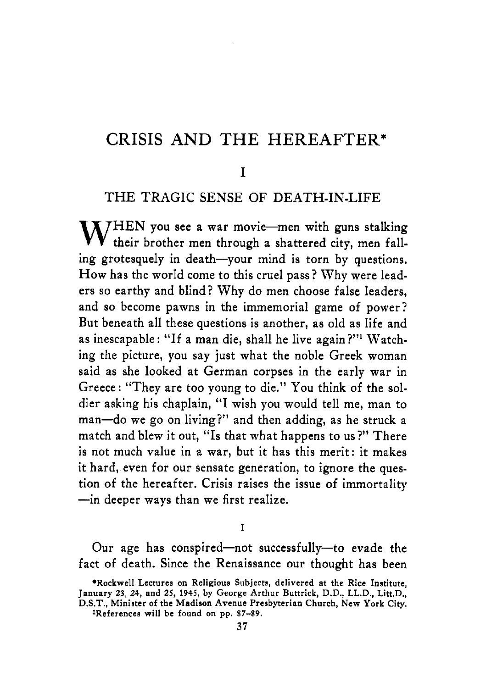### **CRISIS AND THE HEREAFTER\***

#### **I**

#### **THE** TRAGIC **SENSE OF DEATH-IN-LIFE**

WHEN you see a war movie-men with guns stalking<br>their brother men through a shattered city, men falling grotesquely in death-your mind is torn by questions. How has the world come to this cruel pass? Why were leaders so earthy and blind? Why do men choose false leaders, and so become pawns in the immemorial game of power? But beneath all these questions is another, as old as life and as inescapable : "If a man die, shall he live again?"' Watching the picture, you say just what the noble Greek woman said as she looked at German corpses in the early war in Greece: "They are too young to die." You think of the soldier asking his chaplain, "I wish you would tell me, man to man-do we go on living?" and then adding, as he struck a match and blew it out, "Is that what happens to us?" There is not much value in a war, but it has this merit: it makes it hard, even for our sensate generation, to ignore the question of the hereafter. Crisis raises the issue of immortality -in deeper ways than we first realize.

**I** 

Our age has conspired-not successfully-to evade the fact of death. Since the Renaissance our thought has been

**<sup>\*</sup>Rockwell Lectures on Religious Subjecta, delivered at the Rice Institute, January 23, 24, and 25, 1945, by George Arthur Buttrick, D.D., LL.D., Litt.D., D.S.T., Minister of the Madison Avenue Presbyterian Church, New York City.** 

**<sup>\*</sup>References will be found on pp.** *87-89.*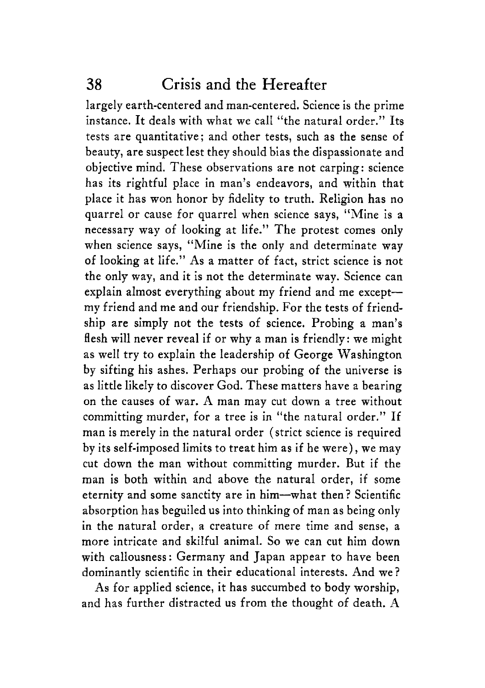largely earth-centered and man-centered. Science is the prime instance. It deals with what we call "the natural order." Its tests are quantitative; and other tests, such as the sense of beauty, are suspect lest they should bias the dispassionate and objective mind. These observations are not carping: science has its rightful place in man's endeavors, and within that place it has won honor by fidelity to truth. Religion has no quarrel or cause for quarrel when science says, "Mine is a necessary way of looking at life." The protest comes only when science says, "Mine is the only and determinate way of looking at life." As a matter of fact, strict science is not the only way, and it is not the determinate way. Science can explain almost everything about my friend and me exceptmy friend and me and our friendship. For the tests of friendship are simply not the tests of science. Probing a man's flesh will never reveal if or why a man is friendly: we might as well try to explain the leadership of George Washington by sifting his ashes. Perhaps our probing of the universe is as little likely to discover God. These matters have a bearing on the causes of war. A man may cut down a tree without committing murder, for a tree is in "the natural order." If man is merely in the natural order (strict science is required by its self-imposed limits to treat him as if he were), we may cut down the man without committing murder. But if the man is both within and above the natural order, if some eternity and some sanctity are in him-what then? Scientific absorption has beguiled us into thinking of man as being only in the natural order, a creature of mere time and sense, a more intricate and skilful animal. So we can cut him down with callousness: Germany and Japan appear to have been dominantly scientific in their educational interests. And we ?

As for applied science, it has succumbed to body worship, and has further distracted us from the thought of death. **A**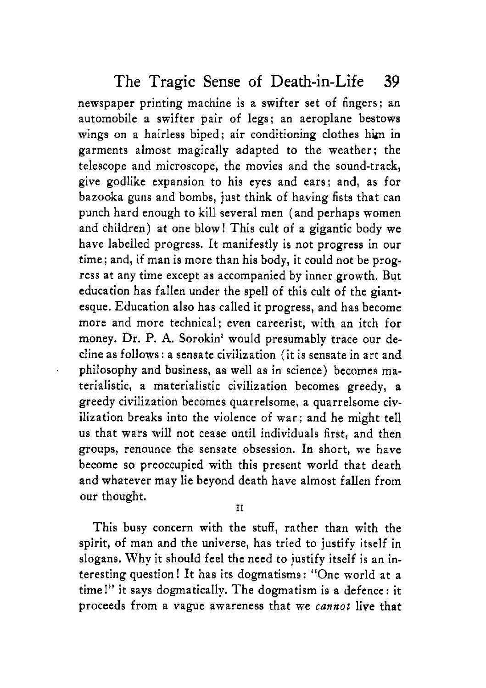newspaper printing machine is a swifter set of fingers; an automobile a swifter pair of legs; an aeroplane bestows wings on a hairless biped; air conditioning clothes him in garments almost magically adapted to the weather; the telescope and microscope, the movies and the sound-track, give godlike expansion to his eyes and ears; and, as for bazooka guns and bombs, just think of having fists that can punch hard enough to kill several men (and perhaps women and children) at one blow! This cult of a gigantic body we have labelled progress. It manifestly is not progress in our time; and, if man is more than his body, it could not be progress at any time except **as** accompanied by inner growth. But education has fallen under the spell of this cult of the giantesque. Education also has called it progress, and has become more and more technical; even careerist, with an itch for money. Dr. P. **A.** Sorokin' would presumably trace our decline as follows : a sensate civilization (it is sensate in art and philosophy and business, as well as in science) becomes materialistic, a materialistic civilization becomes greedy, a greedy civilization becomes quarrelsome, a quarrelsome civilization breaks into the violence of war; and he might tell us that wars will not cease until individuals first, and then groups, renounce the sensate obsession. In short, we have become so preoccupied with this present world that death and whatever may lie beyond death have almost fallen from our thought.

**I1** 

This busy concern with the stuff, rather than with the spirit, of man and the universe, has tried to justify itself in slogans. Why it should feel the need to justify itself is an interesting question I It has its dogmatisms: "One world at a time!" it says dogmatically. The dogmatism is a defence: it proceeds from a vague awareness that we *cannot* live that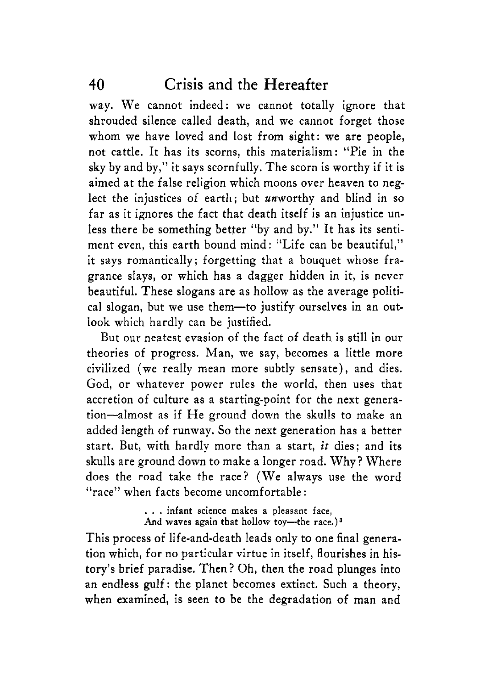way. We cannot indeed: we cannot totally ignore that shrouded silence called death, and we cannot forget those whom we have loved and lost from sight: we are people, not cattle. It has its scorns, this materialism: "Pie in the sky by and by," it says scornfully. The scorn is worthy if it is aimed at the false religion which moons over heaven to neglect the injustices of earth; but unworthy and blind in so far as it ignores the fact that death itself is an injustice unless there be something better "by and by." It has its sentiment even, this earth bound mind: "Life can be beautiful," it says romantically; forgetting that a bouquet whose fragrance slays, or which has a dagger hidden in it, is never beautiful. These slogans are as hollow as the average political slogan, but we use them-to justify ourselves in an outlook which hardly can be justified.

But our neatest evasion of the fact of death is still in our theories of progress. Man, we say, becomes a little more civilized (we really mean more subtly sensate), and dies. God, or whatever power rules the world, then uses that accretion of culture as a starting-point for the next generation-almost as if He ground down the skulls to make an added length of runway. So the next generation has a better start. But, with hardly more than a start, *it* dies; and its skulls are ground down to make a longer road. Why? Where does the road take the race? (We always use the word "race" when facts become uncomfortable :

> . . . infant science makes **a** pleasant face, And waves again that hollow toy-the race.)<sup>3</sup>

This process of life-and-death leads only to one final generation which, for no particular virtue in itself, flourishes in history's brief paradise. Then? Oh, then the road plunges into an endless gulf: the planet becomes extinct. Such a theory, when examined, is seen to be the degradation of man and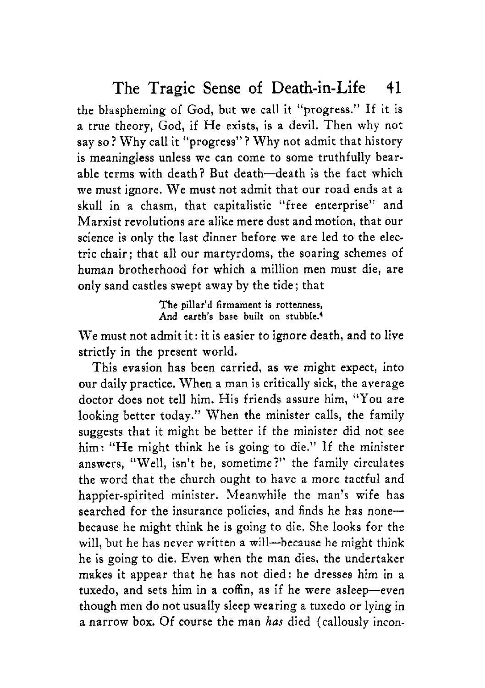the blaspheming of God, but we call it "progress." If it is a true theory, God, if He exists, is a devil. Then why not say so? Why call it "progress"? Why not admit that history is meaningless unless we can come to some truthfully bearable terms with death? But death-death is the fact which we must ignore. We must not admit that our road ends at a skull in a chasm, that capitalistic "free enterprise" and Marxist revolutions are alike mere dust and motion, that our science is only the last dinner before me are led to the electric chair; that all our martyrdoms, the soaring schemes of human brotherhood for which a million men must die, are only sand castles swept away by the tide; that

> **The pillar'd firmament is rottenness, And earth's base buiIt on stubbIe.'**

We must not admit it: it is easier to ignore death, and to live strictly in the present world.

This evasion has been carried, as we might expect, into our daily practice. When a man is critically sick, the average doctor does not tell him. His friends assure him, "You are looking better today." When the minister calls, the family suggests that it might be better if the minister did not see him: "He might think he is going to die." If the minister answers, "Well, isn't he, sometime?" the family circulates the word that the church ought to have a more tactful and happier-spirited minister. Meanwhile the man's wife has searched for the insurance policies, and finds he has nonebecause he might think he is going to die. She looks for the will, but he has never written a will-because he might think he is going to die. Even when the man dies, the undertaker makes it appear that he has not died: he dresses him in a tuxedo, and sets him in a coffin, as if he were asleep-even though men do not usually sleep wearing a tuxedo or lying in *a* narrow **box.** Of course the man *has* died (callously incon-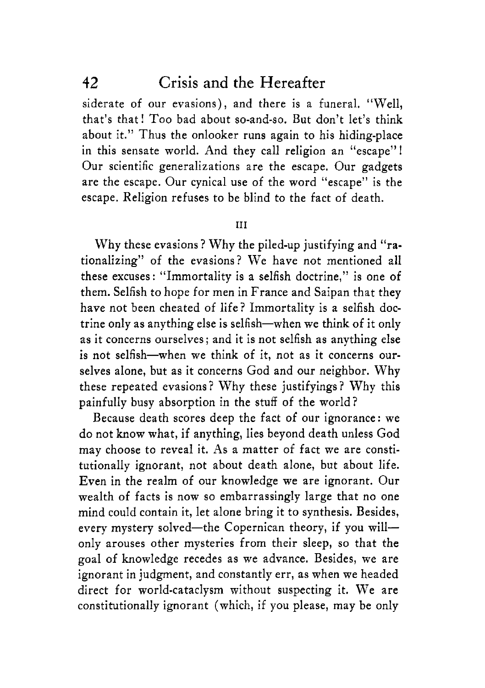siderate of our evasions), and there is a funeral. "Well, that's that ! Too bad about so-and-so. But don't let's think about it." Thus the onlooker runs again to his hiding-place in this sensate world. And they call religion an "escape"1 Our scientific generalizations are the escape. Our gadgets are the escape. Our cynical use of the word "escape" is the escape. Religion refuses to be blind to the fact of death.

#### **111**

Why these evasions? Why the piled-up justifying and "rationalizing" of the evasions? We have not mentioned all these excuses: "Immortality is a selfish doctrine," is one of them. Selfish to hope for men in France and Saipan that they have not been cheated of life? Immortality is a selfish doctrine only as anything else is selfish-when we think **of** it only as it concerns ourselves; and it is not selfish as anything else is not selfish-when we think of it, not as it concerns ourselves alone, but as it concerns God and our neighbor. Why these repeated evasions? Why these justifyings? Why this painfully busy absorption in the stuff of the world?

Because death scores deep the fact of our ignorance: we do not know what, if anything, lies beyond death unless God may choose to reveal it. As a matter of fact we are constitutionally ignorant, not about death alone, but about life. Even in the realm of our knowledge we are ignorant. Our wealth of facts is now so embarrassingly large that no one mind could contain it, let alone bring it to synthesis. Besides, every mystery solved-the Copernican theory, if you willonly arouses other mysteries from their sleep, so that the goal of knowledge recedes as we advance. Besides, we are ignorant in judgment, and constantly err, as when we headed direct for world-cataclysm without suspecting it. We are constitutionally ignorant (which, if you please, may be only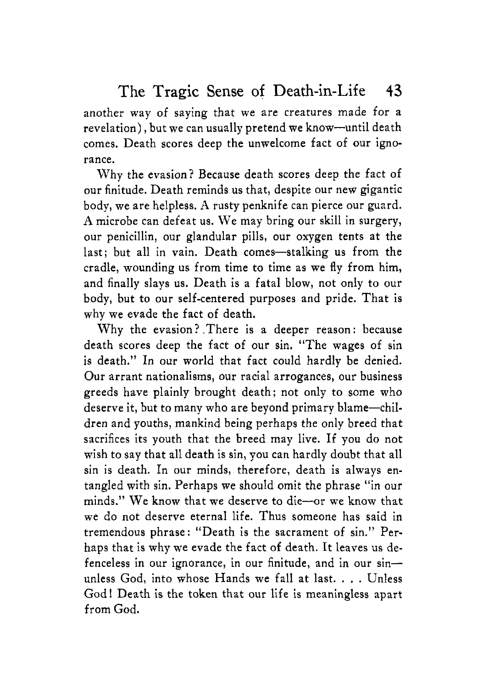another way of saying that we are creatures made for a revelation), but we can usually pretend we know-until death comes. Death scores deep the unwelcome fact of our ignorance.

Why the evasion? Because death scores deep the fact of our finitude. Death reminds us that, despite our new gigantic body, we are helpless. A rusty penknife can pierce our guard. **A** microbe can defeat us. We may bring our skill in surgery, our penicillin, our glandular pills, our oxygen tents at the last; but all in vain. Death comes-stalking us from the cradle, wounding us from time to time as we fly from him, and finally slays us. Death is a fatal blow, not only to our body, but to our self-centered purposes and pride. That is why we evade the fact of death.

Why the evasion? .There is a deeper reason: because death scores deep the fact of our sin. "The wages of sin is death." In our world that fact could hardly be denied. Our arrant nationalisms, our racial arrogances, our business greeds have plainly brought death; not only to some who deserve it, but to many who are beyond primary blame-children and youths, mankind being perhaps the only breed that sacrifices its youth that the breed may live. If you do not wish to say that all death is sin, **you** can hardly doubt that all sin is death. In our minds, therefore, death is always entangled with sin. Perhaps we should omit the phrase "in our minds." We know that we deserve to die-or we know that we do not deserve eternal life. Thus someone has said in tremendous phrase : "Death is the sacrament of sin." Perhaps that is why we evade the fact of death. It leaves us defenceless in our ignorance, in our finitude, and in our  $sin$  unless God, into whose Hands we fall at last. . . . Unless God! Death is the token that our life is meaningless apart from God.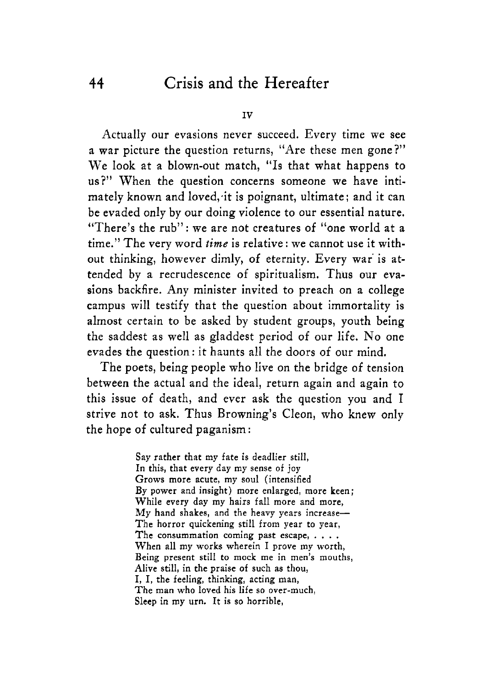**IV** 

Actually our evasions never succeed. Every time we see a war picture the question returns, "Are these men gone?" We **look** at a blown-out match, **"Is** that what happens to us?" When the question concerns someone we have intimately known and 1oved;it is poignant, ultimate: and it can be evaded only by our doing violence to our essential nature. "There's the rub": we are not creatures of "one world at a time." The very word *time* is relative : **we** cannot use it without thinking, however dimly, **of** eternity. Every war is attended by a recrudescence of spiritualism. Thus our evasions backfire. Any minister invited to preach on a college campus will testify that the question about immortality is almost certain to be asked by student groups, youth being the saddest as well as gladdest period of our life. No one evades the question: it haunts all the doors of our mind,

The poets, being people who live on the bridge of tension between the actual and the ideal, return again and again to this issue of death, and ever ask the question you and I strive not to ask. Thus Browning's Cleon, who knew only the hope of cultured paganism :

> Say rather that my fate is deadlier still, In this, that every day my sense of joy Grows more acute, my soul (intensified By power and insight) more enlarged, more keen; While every day my hairs fall more and more,  $My$  hand shakes, and the heavy years increase-The horror quickening still from year *to* year, The consummation coming past escape,  $\dots$ .<br>When all my works wherein I prove my worth, Being present still to mock me in men's mouths, Alive still, in the praise of such as thou, I, I, **the** feeling, thinking, acting man, The man who loved his life so over-much, Sleep in my urn. It **is so** horrible,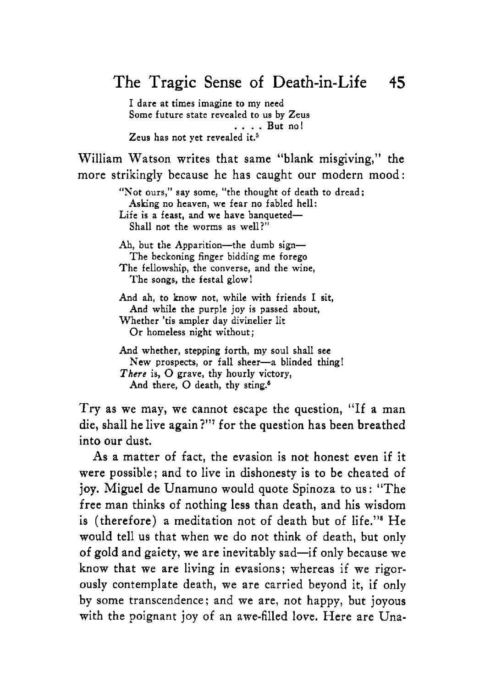I dare at times imagine to my need Some future state revealed to us by Zeus Zeus has not vet revealed it.<sup>5</sup> . . . . But **no!** 

William Watson writes that same "blank misgiving," the more strikingly because he has caught our modern mood :

> "Not ours," say some, "the thought of death to dread: Life is a feast, and we have banqueted-Asking no heaven, we fear **no** fabled hell: Shall not the worms as well?"

Ah, but the Apparition--- the dumb sign--The beckoning finger bidding me forego The fellowship, the converse, and the wine, The songs, the festal glow1

And ah, to know not, while with friends I sit, And while the purple joy is passed about, Whether 'tis ampler day divinelier lit Or homeless night without;

And whether, stepping forth, my soul shall see New prospects, or fall sheer-a blinded thing! There **is,** 0 grave, thy hourly victory, And there, O death, thy sting.<sup>6</sup>

Try as we may, we cannot escape the question, "If a man die, shall he live again?"' for the question has been breathed into our dust.

**As** a matter of fact, the evasion is not honest even if it were possible; and to live in dishonesty **is** to be cheated of joy. Miguel de Unamuno would quote Spinoza to us: "The free man thinks of nothing less than death, and his wisdom is (therefore) a meditation not of death but of life."<sup>8</sup> He would tell us that when we do not think of death, but only of gold and gaiety, we are inevitably sad-if only because we know that we are living in evasions; whereas if we rigorously contemplate death, **we** are carried beyond it, if only by some transcendence: and we are, not happy, but joyous with the poignant joy of an awe-filled love. Here are Una-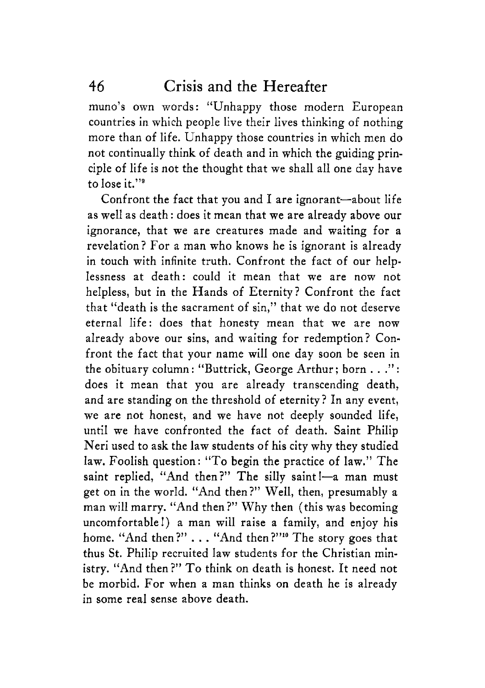muno's own words: "Unhappy those modern European countries in which people live their lives thinking of nothing more than of life. Unhappy those countries in which men do not continually think of death and in which the guiding principle of life is not the thought that we shall all one day have to lose it."9

Confront the fact that you and I are ignorant-about life as well as death : does it mean that we are already above our ignorance, that we are creatures made and waiting for a revelation? For a man who knows he is ignorant is already in touch with infinite truth. Confront the fact of our helplessness at death: could it mean that we are now not helpless, but in the Hands of Eternity? Confront the fact that "death is the sacrament of sin," that we do not deserve eternal life: does that honesty mean that we are now already above our sins, and waiting for redemption? Confront the fact that your name will one day soon be seen in the obituary column : "Buttrick, George Arthur ; born . . ." : does it mean that you are already transcending death, and are standing on the threshold of eternity? In any event, we are not honest, and we have not deeply sounded life, until we have confronted the fact of death. Saint Philip Neri used to ask the law students of his city why they studied law. Foolish question: *''TO* begin the practice of law." The saint replied, "And then?" The silly saint !- a man must get on in the world. "And then?" Well, then, presumably a man will marry. "And then ?" Why then (this was becoming uncomfortableI) a man will raise a family, and enjoy his home. "And then?" . . . "And then?"<sup>10</sup> The story goes that thus St. Philip recruited law students for the Christian ministry. "And then?" To think on death is honest. It need not be morbid. For when a man thinks on death he is already in some real sense above death.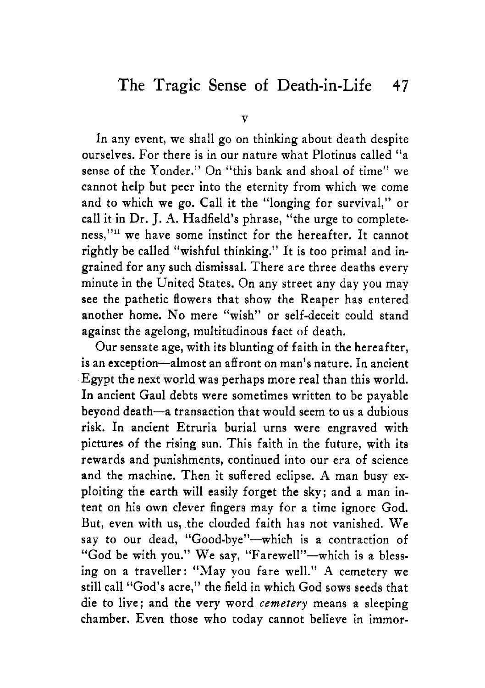In any event, we shall go on thinking about death despite ourselves. For there is in our nature what Plotinus called "a sense of the Yonder." On "this bank and shoal of time" we cannot help but peer into the eternity from which we come and *to* which we go. Call it the "longing for survival," or call it in Dr. J. **A.** Hadfield's phrase, "the urge to completeness,"<sup>11</sup> we have some instinct for the hereafter. It cannot rightly be called "wishful thinking." It is too primal and ingrained for any such dismissal. There are three deaths every minute in the United States. On any street any day you may see the pathetic flowers that show the Reaper has entered another home. No mere "wish" or self-deceit could stand against the agelong, multitudinous fact of death.

Our sensate age, with its blunting of faith in the hereafter, is an exception-almost an affront on man's nature. In ancient Egypt the next world was perhaps more real than this world. In ancient Gaul debts were sometimes written to be payable beyond death-a transaction that would seem to us a dubious risk. In ancient Etruria burial urns were engraved with pictures of the rising sun. This faith in the future, with its rewards and punishments, continued into our era of science and the machine. Then it suffered eclipse. **A** man busy exploiting the earth will easily forget the sky; and a man intent on his own clever fingers may for a time ignore God. But, even with us, the clouded faith has not vanished. We say to our dead, "Good-bye"-which is a contraction of "God be with you." We say, "Farewell"-which is a blessing on a traveller: "May you fare well." **A** cemetery we still call "God's acre," the field in which God sows seeds that die to live; and the very word *cemetery* means a sleeping chamber. Even those who today cannot believe in immor-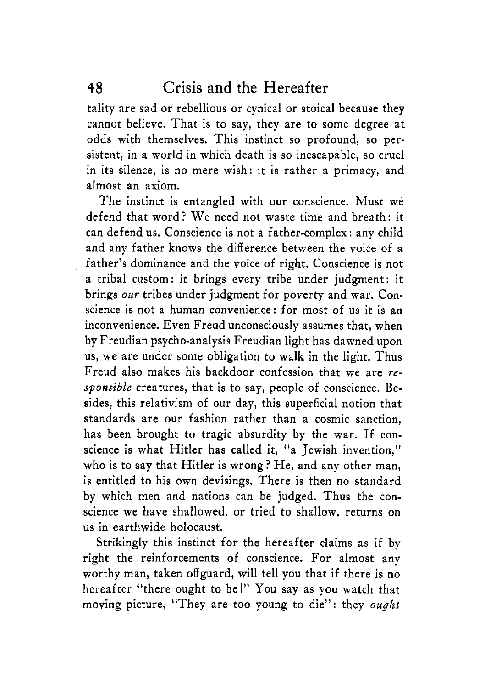tality are sad or rebellious or cynical or stoical because they cannot believe. That is to say, they are to some degree at odds with themselves. This instinct so profound, so persistent, in a world in which death is so inescapable, so cruel in its silence, is no mere wish: it is rather a primacy, and almost **an** axiom.

The instinct is entangled with our conscience. Must we defend that word? We need not waste time and breath: it can defend us. Conscience is not a father-complex : any child and any father knows the difference between the voice of a father's dominance and the voice of right. Conscience is not a tribal custom: it brings every tribe under judgment: it brings *our* tribes under judgment for poverty and war. Conscience is not a human convenience: for most of us it is an inconvenience. Even Freud unconsciously assumes that, when by Freudian psycho-analysis Freudian light has dawned upon us, we are under some obligation to walk in the light. Thus Freud also makes his backdoor confession that we are *responsible* creatures, that is to say, people of conscience. Besides, this relativism of our day, this superficial notion that standards are our fashion rather than a cosmic sanction, has been brought to tragic absurdity by the war. If conscience is what Hitler has called it, "a Jewish invention," who is to say that Hitler is wrong? He, and any other man, is entitled to his own devisings. There is then no standard by which men and nations can be judged. Thus the conscience we have shallowed, or tried to shallow, returns on us in earthwide holocaust.

Strikingly this instinct for the hereafter claims as if by right the reinforcements of conscience. For almost any worthy man, taken offguard, will tell you that if there is no hereafter "there ought to bel" You say as you watch that moving picture, "They are too young to die": they *ought*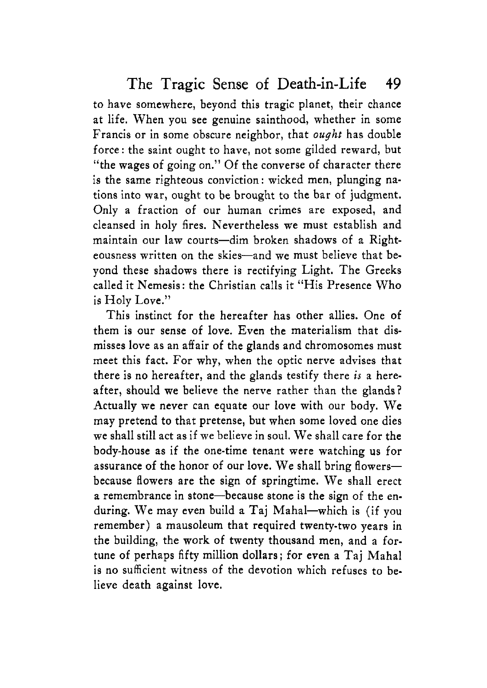to have somewhere, beyond this tragic planet, their chance at life. When you see genuine sainthood, whether in some Francis or in some obscure neighbor, that *ought* has double force: the saint ought to have, not some gilded reward, but "the wages of going on." Of the converse of character there is the same righteous conviction: wicked men, plunging nations into war, ought to be brought to the bar of judgment. Only a fraction of our human crimes are exposed, and cleansed in holy fires. Nevertheless we must establish and maintain our law courts-dim broken shadows of a Righteousness written on the skies-and we must believe that beyond these shadows there is rectifying Light. The Greeks called it Nemesis: the Christian calls it "His Presence Who is Holy Love."

This instinct for the hereafter has other allies. One of them is our sense of love. Even the materialism that dismisses love as an affair of the glands and chromosomes must meet this fact. For why, when the optic nerve advises that there is no hereafter, and the glands testify there is a hereafter, should **we** believe the nerve rather than the glands? Actually we never can equate our love with our body. We may pretend to that pretense, but when some loved one dies we shall still act as if we believe in soul. We shall care for the body-house as if the one-time tenant were watching us for assurance of the honor of our love. We shall bring flowersbecause flowers are the sign of springtime. We shall erect *a* remembrance in stone-because stone is the sign of the enduring. We may even build a Taj Mahal-which is (if you remember) a mausoleum that required twenty-two years in the building, the work of twenty thousand men, and a fortune of perhaps fifty million dollars; for even a Taj Mahal is no suficient witness of the devotion which refuses to believe death against love.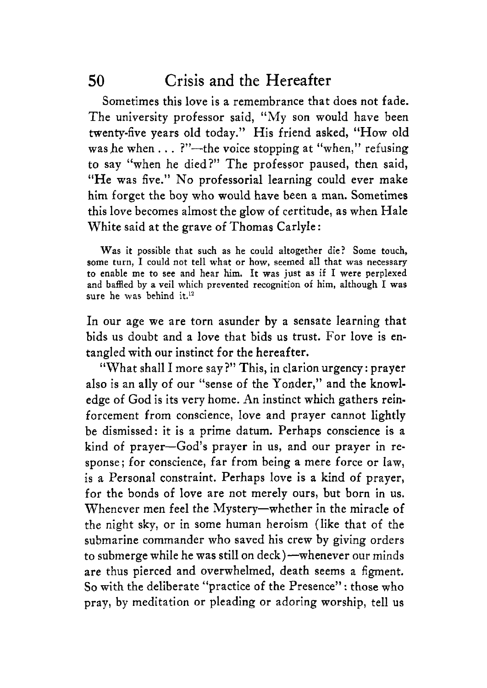Sometimes this love is a remembrance that does not fade. The university professor said, "My son would have been twenty-five years old today." His friend asked, "How old was he when  $\dots$  ?"-the voice stopping at "when," refusing to say "when he died?'' The professor paused, then said, "He was five." No professorial learning could ever make him forget the boy who would have been **a** man. Sometimes this love becomes almost the glow of certitude, as when Hale White said at the grave of Thomas Carlyle :

**Was it possible that such as he could altogether die? Some touch, some turn, I could not tell what or how, seemed all that was necessary to enable me to see and hear him. It was just as** if **I were perplexed and baffled by a veil which prevented recognition of him, although I was sure he was** behind **it.12** 

In our age we are torn asunder by a sensate learning that bids us doubt and a love that bids us trust. For love is entangled with our instinct for the hereafter.

"What shall I more say?" This, in clarion urgency: prayer also is an ally of our "sense of the Yonder," and the knowledge of God is its very home. **An** instinct which gathers reinforcement from conscience, love and prayer cannot lightly be dismissed: it is a prime datum. Perhaps conscience **is** a kind of prayer-God's prayer in us, and our prayer in response; for conscience, far from being a mere force or law, is a Personal constraint. Perhaps love **is** a kind of prayer, for the bonds of love are not merely ours, but born in **us.**  Whenever men feel the Mystery-whether in the miracle of the night sky, or in some human heroism (like that of the submarine commander who saved his crew by giving orders to submerge while he was still on deck)—whenever our minds are thus pierced and overwhelmed, death seems a figment. So with the deliberate "practice of the Presence" : those who pray, by meditation or pleading or adoring worship, tell us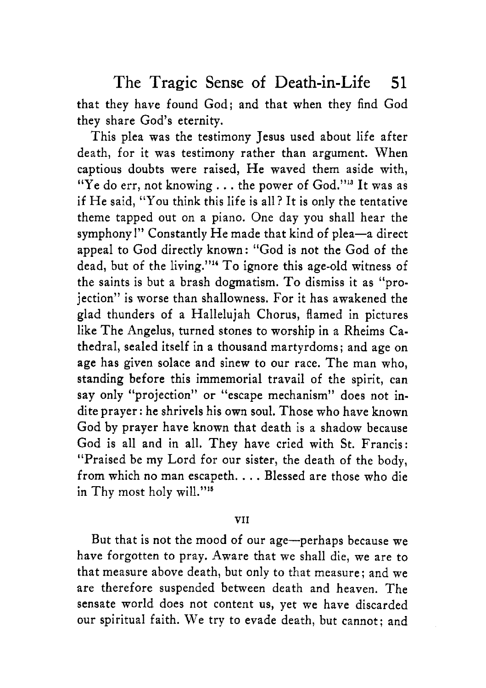that they have found God; and that when they find God they share God's eternity.

This plea was the testimony Jesus used about life after death, for it was testimony rather than argument. When captious doubts were raised, He waved them aside with, "Ye do err, not knowing. . . the power of God.'"a It was as if He said, "You think this life is all? It is only the tentative theme tapped out on a piano. One day you shall hear the symphony!" Constantly He made that kind of plea-a direct appeal to God directly known: "God is not the God of the dead, but of the living."" To ignore this age-old witness of the saints is but a brash dogmatism. To dismiss it as "projection" is worse than shallowness. For it has awakened the glad thunders of a Hallelujah Chorus, flamed in pictures like The Angelus, turned stones to worship in a Rheims Cathedral, sealed itself in a thousand martyrdoms ; and age on age has given solace and sinew to our race. The man who, standing before this immemorial travail of the spirit, can say only "projection" or "escape mechanism" does not indite prayer: he shrivels his own soul. Those who have known God by prayer have known that death is a shadow because God is all and in all. They have cried with St. Francis: "Praised be my Lord for our sister, the death of the body, from which no man escapeth. . . . Blessed are those who die in Thy most holy will."<sup>15</sup>

#### **VI** I

But that is not the mood of our age-perhaps because we have forgotten to pray. Aware that we shall die, we are to that measure above death, but only to that measure; and we are therefore suspended between death and heaven. The sensate world does not content us, yet we have discarded our spiritual faith. We try to evade death, but cannot; and